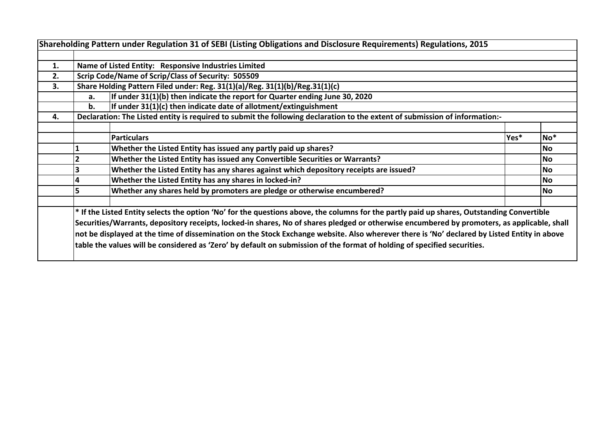|    |                                                                                   | Shareholding Pattern under Regulation 31 of SEBI (Listing Obligations and Disclosure Requirements) Regulations, 2015                                                                                                                                                                                                                                                                                                                                                                                                                                                 |      |           |  |  |  |  |  |  |  |  |  |
|----|-----------------------------------------------------------------------------------|----------------------------------------------------------------------------------------------------------------------------------------------------------------------------------------------------------------------------------------------------------------------------------------------------------------------------------------------------------------------------------------------------------------------------------------------------------------------------------------------------------------------------------------------------------------------|------|-----------|--|--|--|--|--|--|--|--|--|
|    |                                                                                   |                                                                                                                                                                                                                                                                                                                                                                                                                                                                                                                                                                      |      |           |  |  |  |  |  |  |  |  |  |
| 1. |                                                                                   | Name of Listed Entity: Responsive Industries Limited                                                                                                                                                                                                                                                                                                                                                                                                                                                                                                                 |      |           |  |  |  |  |  |  |  |  |  |
| 2. |                                                                                   | Scrip Code/Name of Scrip/Class of Security: 505509                                                                                                                                                                                                                                                                                                                                                                                                                                                                                                                   |      |           |  |  |  |  |  |  |  |  |  |
| 3. | Share Holding Pattern Filed under: Reg. 31(1)(a)/Reg. 31(1)(b)/Reg.31(1)(c)       |                                                                                                                                                                                                                                                                                                                                                                                                                                                                                                                                                                      |      |           |  |  |  |  |  |  |  |  |  |
|    | If under 31(1)(b) then indicate the report for Quarter ending June 30, 2020<br>а. |                                                                                                                                                                                                                                                                                                                                                                                                                                                                                                                                                                      |      |           |  |  |  |  |  |  |  |  |  |
|    | If under 31(1)(c) then indicate date of allotment/extinguishment<br>b.            |                                                                                                                                                                                                                                                                                                                                                                                                                                                                                                                                                                      |      |           |  |  |  |  |  |  |  |  |  |
| 4. |                                                                                   | Declaration: The Listed entity is required to submit the following declaration to the extent of submission of information:-                                                                                                                                                                                                                                                                                                                                                                                                                                          |      |           |  |  |  |  |  |  |  |  |  |
|    |                                                                                   |                                                                                                                                                                                                                                                                                                                                                                                                                                                                                                                                                                      |      |           |  |  |  |  |  |  |  |  |  |
|    |                                                                                   | <b>Particulars</b>                                                                                                                                                                                                                                                                                                                                                                                                                                                                                                                                                   | Yes* | $No*$     |  |  |  |  |  |  |  |  |  |
|    |                                                                                   | Whether the Listed Entity has issued any partly paid up shares?                                                                                                                                                                                                                                                                                                                                                                                                                                                                                                      |      | <b>No</b> |  |  |  |  |  |  |  |  |  |
|    |                                                                                   | Whether the Listed Entity has issued any Convertible Securities or Warrants?                                                                                                                                                                                                                                                                                                                                                                                                                                                                                         |      |           |  |  |  |  |  |  |  |  |  |
|    |                                                                                   | Whether the Listed Entity has any shares against which depository receipts are issued?                                                                                                                                                                                                                                                                                                                                                                                                                                                                               |      | <b>No</b> |  |  |  |  |  |  |  |  |  |
|    | 4                                                                                 | Whether the Listed Entity has any shares in locked-in?                                                                                                                                                                                                                                                                                                                                                                                                                                                                                                               |      | <b>No</b> |  |  |  |  |  |  |  |  |  |
|    | 5                                                                                 | Whether any shares held by promoters are pledge or otherwise encumbered?                                                                                                                                                                                                                                                                                                                                                                                                                                                                                             |      | No        |  |  |  |  |  |  |  |  |  |
|    |                                                                                   | * If the Listed Entity selects the option 'No' for the questions above, the columns for the partly paid up shares, Outstanding Convertible<br>Securities/Warrants, depository receipts, locked-in shares, No of shares pledged or otherwise encumbered by promoters, as applicable, shall<br>not be displayed at the time of dissemination on the Stock Exchange website. Also wherever there is 'No' declared by Listed Entity in above<br>table the values will be considered as 'Zero' by default on submission of the format of holding of specified securities. |      |           |  |  |  |  |  |  |  |  |  |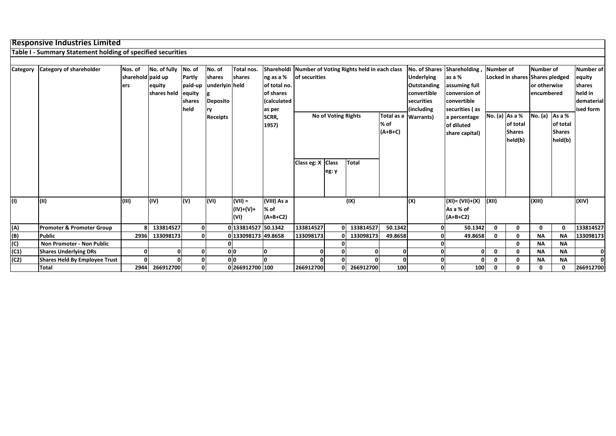## **Responsive Industries Limited**

**Table I - Summary Statement holding of specified securities**

| Category | Category of shareholder              | Nos. of           | No. of fully | No. of        | No. of          | Total nos.          |                    |                                                    | Shareholdi Number of Voting Rights held in each class<br>No. of Shares Shareholding,<br>Number of |           |         |                   | Number of          |                  | Number of                       |               |              |            |
|----------|--------------------------------------|-------------------|--------------|---------------|-----------------|---------------------|--------------------|----------------------------------------------------|---------------------------------------------------------------------------------------------------|-----------|---------|-------------------|--------------------|------------------|---------------------------------|---------------|--------------|------------|
|          |                                      | sharehold paid up |              | Partly        | shares          | shares              | ng as a %          | of securities                                      |                                                                                                   |           |         | <b>Underlying</b> | as a %             |                  | Locked in shares Shares pledged |               | equity       |            |
|          |                                      | lers              | equity       | paid-up       | underlyin held  |                     | of total no.       |                                                    |                                                                                                   |           |         | Outstanding       | assuming full      |                  |                                 | or otherwise  | shares       |            |
|          |                                      |                   | shares held  | equity        |                 |                     | of shares          |                                                    |                                                                                                   |           |         | convertible       | conversion of      |                  |                                 | encumbered    | held in      |            |
|          |                                      |                   |              | <b>shares</b> | <b>Deposito</b> |                     | <i>(calculated</i> |                                                    |                                                                                                   |           |         | securities        | convertible        |                  |                                 |               |              | dematerial |
|          |                                      |                   |              | held          | rv              |                     | as per             |                                                    |                                                                                                   |           |         | (including        | securities (as     |                  |                                 |               |              | ised form  |
|          |                                      |                   |              |               | Receipts        |                     | SCRR,              | <b>No of Voting Rights</b><br>Total as a Warrants) |                                                                                                   |           |         | a percentage      |                    | No. (a) $As a %$ | No. $(a)$ As a %                |               |              |            |
|          |                                      |                   |              |               |                 |                     | 1957)              | % of                                               |                                                                                                   |           |         | of diluted        |                    | of total         |                                 | of total      |              |            |
|          |                                      |                   |              |               |                 |                     |                    | $(A+B+C)$                                          |                                                                                                   |           |         | share capital)    |                    | <b>Shares</b>    |                                 | <b>Shares</b> |              |            |
|          |                                      |                   |              |               |                 |                     |                    |                                                    |                                                                                                   |           |         |                   |                    | held(b)          |                                 | held(b)       |              |            |
|          |                                      |                   |              |               |                 |                     |                    |                                                    |                                                                                                   |           |         |                   |                    |                  |                                 |               |              |            |
|          |                                      |                   |              |               |                 |                     |                    |                                                    |                                                                                                   |           |         |                   |                    |                  |                                 |               |              |            |
|          |                                      |                   |              |               |                 |                     |                    | Class eg: X Class                                  |                                                                                                   | Total     |         |                   |                    |                  |                                 |               |              |            |
|          |                                      |                   |              |               |                 |                     |                    |                                                    | eg: y                                                                                             |           |         |                   |                    |                  |                                 |               |              |            |
|          |                                      |                   |              |               |                 |                     |                    |                                                    |                                                                                                   |           |         |                   |                    |                  |                                 |               |              |            |
|          |                                      |                   |              |               |                 |                     |                    |                                                    |                                                                                                   |           |         |                   |                    |                  |                                 |               |              |            |
| (1)      | (II)                                 | (III)             | (IV)         | (v)           | (VI)            | $($ VII) =          | (VIII) As a        |                                                    |                                                                                                   | (IX)      |         | (X)               | $(XI) = (VII)+(X)$ | (XII)            |                                 | (XIII)        |              | (XIV)      |
|          |                                      |                   |              |               |                 | (IV)+(V)+           | % of               |                                                    |                                                                                                   |           |         |                   | As a % of          |                  |                                 |               |              |            |
|          |                                      |                   |              |               |                 | (VI)                | $(A+B+C2)$         |                                                    |                                                                                                   |           |         |                   | $(A+B+C2)$         |                  |                                 |               |              |            |
|          |                                      |                   |              |               |                 |                     |                    |                                                    |                                                                                                   |           |         |                   |                    |                  |                                 |               |              |            |
| (A)      | <b>Promoter &amp; Promoter Group</b> | 8                 | 133814527    | 0             |                 | 0 133814527 50.1342 |                    | 133814527                                          | $\Omega$                                                                                          | 133814527 | 50.1342 | 0                 | 50.1342            | $\mathbf{0}$     | 0                               | 0             | $\mathbf{0}$ | 133814527  |
| (B)      | <b>Public</b>                        | 2936              | 133098173    | $\Omega$      |                 | 0 133098173 49.8658 |                    | 133098173                                          |                                                                                                   | 133098173 | 49.8658 | 0                 | 49.8658            | $\mathbf 0$      | 0                               | <b>NA</b>     | <b>NA</b>    | 133098173  |
| (C)      | Non Promoter - Non Public            |                   |              |               |                 |                     |                    |                                                    |                                                                                                   |           |         |                   |                    |                  | Ω                               | <b>NA</b>     | <b>NA</b>    |            |
| (C1)     | <b>Shares Underlying DRs</b>         | 0                 |              |               |                 | 0 0                 | O                  |                                                    |                                                                                                   |           |         |                   | $\Omega$           | $\mathbf 0$      | 0                               | <b>NA</b>     | <b>NA</b>    | $\Omega$   |
| (C2)     | Shares Held By Employee Trust        | U                 |              |               |                 | 0 <sup>0</sup>      | n                  |                                                    |                                                                                                   |           |         | 0                 |                    | $\mathbf{0}$     |                                 | <b>NA</b>     | <b>NA</b>    | ΩL         |
|          | Total                                | 2944              | 266912700    | $\mathbf 0$   |                 | 0 266912700 100     |                    | 266912700                                          |                                                                                                   | 266912700 | 100     | 0                 | 100                | 0                | 0                               | ∩             | $\mathbf{0}$ | 266912700  |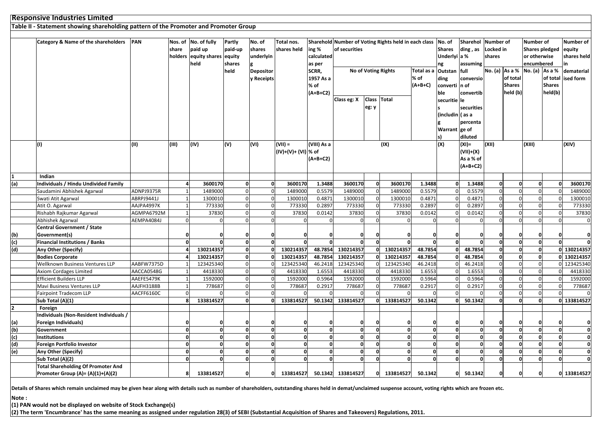|                   | <b>Responsive Industries Limited</b><br>Table II - Statement showing shareholding pattern of the Promoter and Promoter Group |            |                |                              |                |                  |                     |             |                   |                            |                                                             |              |                   |               |                    |                               |                       |               |                     |
|-------------------|------------------------------------------------------------------------------------------------------------------------------|------------|----------------|------------------------------|----------------|------------------|---------------------|-------------|-------------------|----------------------------|-------------------------------------------------------------|--------------|-------------------|---------------|--------------------|-------------------------------|-----------------------|---------------|---------------------|
|                   |                                                                                                                              |            |                |                              |                |                  |                     |             |                   |                            |                                                             |              |                   |               |                    |                               |                       |               |                     |
|                   |                                                                                                                              |            |                |                              |                |                  |                     |             |                   |                            |                                                             |              |                   |               |                    |                               |                       |               |                     |
|                   | Category & Name of the shareholders                                                                                          | PAN        |                | Nos. of No. of fully         | Partly         | No. of           | Total nos.          |             |                   |                            | Sharehold Number of Voting Rights held in each class No. of |              |                   |               | Sharehol Number of |                               | Number of             |               | <b>Number of</b>    |
|                   |                                                                                                                              |            | share          | paid up                      | paid-up        | shares           | shares held         | ing %       | of securities     |                            |                                                             |              | <b>Shares</b>     | ding, as      | Locked in          |                               | Shares pledged equity |               |                     |
|                   |                                                                                                                              |            |                | holders equity shares equity |                | underlyin        |                     | calculated  |                   |                            |                                                             |              | Underlyi a %      |               | shares             |                               | or otherwise          |               | shares held         |
|                   |                                                                                                                              |            |                | held                         | shares         |                  |                     | as per      |                   |                            |                                                             |              | ng                | assuming      |                    |                               | encumbered            |               | in                  |
|                   |                                                                                                                              |            |                |                              | held           | <b>Depositor</b> |                     | SCRR,       |                   | <b>No of Voting Rights</b> |                                                             | Total as a   | Outstan           | full          |                    | No. (a) As a % No. (a) As a % |                       |               | dematerial          |
|                   |                                                                                                                              |            |                |                              |                | y Receipts       |                     | 1957 As a   |                   |                            |                                                             | % of         | ding              | conversio     |                    | of total                      |                       |               | of total lised form |
|                   |                                                                                                                              |            |                |                              |                |                  |                     | % of        |                   |                            |                                                             | $(A+B+C)$    | converti n of     |               |                    | <b>Shares</b>                 |                       | <b>Shares</b> |                     |
|                   |                                                                                                                              |            |                |                              |                |                  |                     | $(A+B+C2)$  |                   |                            |                                                             | ble          |                   | convertib     |                    | held (b)                      |                       | held(b)       |                     |
|                   |                                                                                                                              |            |                |                              |                |                  |                     |             | Class eg: X       | <b>Class</b>               | <b>Total</b>                                                |              | securitie le      |               |                    |                               |                       |               |                     |
|                   |                                                                                                                              |            |                |                              |                |                  |                     |             |                   | eg: y                      |                                                             |              |                   | securities    |                    |                               |                       |               |                     |
|                   |                                                                                                                              |            |                |                              |                |                  |                     |             |                   |                            |                                                             |              | (includin   (as a |               |                    |                               |                       |               |                     |
|                   |                                                                                                                              |            |                |                              |                |                  |                     |             |                   |                            |                                                             |              |                   | percenta      |                    |                               |                       |               |                     |
|                   |                                                                                                                              |            |                |                              |                |                  |                     |             |                   |                            |                                                             |              | Warrant ge of     |               |                    |                               |                       |               |                     |
|                   |                                                                                                                              |            |                |                              |                |                  |                     |             |                   |                            |                                                             |              | ls)               | diluted       |                    |                               |                       |               |                     |
|                   | (1)                                                                                                                          | (II)       | (III)          | (IV)                         | (V)            | (VI)             | $(VII) =$           | (VIII) As a |                   |                            | (IX)                                                        |              | (X)               | $(XI) =$      | (XII)              |                               | (XIII)                |               | (XIV)               |
|                   |                                                                                                                              |            |                |                              |                |                  | (IV)+(V)+ (VI) % of |             |                   |                            |                                                             |              |                   | $(VII)+(X)$   |                    |                               |                       |               |                     |
|                   |                                                                                                                              |            |                |                              |                |                  |                     | $(A+B+C2)$  |                   |                            |                                                             |              |                   | As a % of     |                    |                               |                       |               |                     |
|                   |                                                                                                                              |            |                |                              |                |                  |                     |             |                   |                            |                                                             |              |                   | $(A+B+C2)$    |                    |                               |                       |               |                     |
|                   | Indian                                                                                                                       |            |                |                              |                |                  |                     |             |                   |                            |                                                             |              |                   |               |                    |                               |                       |               |                     |
| (a)               | Individuals / Hindu Undivided Family                                                                                         |            |                | 3600170                      | 0              | $\Omega$         | 3600170             | 1.3488      | 3600170           | $\mathbf 0$                | 3600170                                                     | 1.3488       | 0                 | 1.3488        | $\mathbf{0}$       | $\mathbf 0$                   | $\mathbf{0}$          |               | 3600170             |
|                   | Saudamini Abhishek Agarwal                                                                                                   | ADNPJ9375R |                | 1489000                      | $\mathbf 0$    | $\Omega$         | 148900              | 0.5579      | 1489000           | $\Omega$                   | 1489000                                                     | 0.5579       | $\Omega$          | 0.5579        | $\Omega$           | $\Omega$                      | $\mathbf 0$           | $\Omega$      | 1489000             |
|                   | Swati Atit Agarwal                                                                                                           | ABRPJ9441J |                | 1300010                      | $\overline{0}$ | $\Omega$         | 1300010             | 0.4871      | 1300010           | $\mathbf 0$                | 1300010                                                     | 0.4871       | $\Omega$          | 0.4871        | $\Omega$           | $\Omega$                      | $\mathbf 0$           |               | 1300010             |
|                   | Atit O. Agarwal                                                                                                              | AAJPA4997K | $\overline{1}$ | 773330                       | $\overline{0}$ | $\Omega$         | 773330              | 0.2897      | 773330            | $\Omega$                   | 773330                                                      | 0.2897       | $\Omega$          | 0.2897        | $\mathbf{0}$       | $\Omega$                      | $\mathbf{0}$          |               | 773330              |
|                   | Rishabh Rajkumar Agarwal                                                                                                     | AGMPA6792M | $\overline{1}$ | 37830                        | $\overline{0}$ | $\Omega$         | 37830               | 0.0142      | 37830             | $\mathbf 0$                | 37830                                                       | 0.0142       | $\Omega$          | 0.0142        | $\Omega$           | $\Omega$                      | $\mathbf 0$           | - 0           | 37830               |
|                   | Abhishek Agarwal                                                                                                             | AEMPA4084J | $\mathbf 0$    |                              | $\Omega$       | $\Omega$         |                     | $\Omega$    | $\Omega$          | $\Omega$                   | $\Omega$                                                    | $\mathbf 0$  | $\Omega$          | $\Omega$      | $\Omega$           | $\Omega$                      | $\mathbf 0$           | $\Omega$      | $\mathbf 0$         |
|                   | <b>Central Government / State</b>                                                                                            |            |                |                              |                |                  |                     |             |                   |                            |                                                             |              |                   |               |                    |                               |                       |               |                     |
|                   | Government(s)                                                                                                                |            | $\Omega$       |                              | $\mathbf{0}$   |                  |                     |             | $\Omega$          |                            |                                                             | O            |                   |               |                    | 0                             | $\mathbf 0$           |               | $\mathbf{0}$        |
| $\frac{(b)}{(c)}$ | <b>Financial Institutions / Banks</b>                                                                                        |            | $\mathbf 0$    |                              | 0              | $\mathbf{0}$     |                     |             | $\Omega$          | $\Omega$                   |                                                             | <sub>0</sub> | 0                 | $\Omega$      | $\mathbf{0}$       | $\mathbf 0$                   | $\mathbf{0}$          | $\Omega$      |                     |
| $\overline{d}$    | Any Other (Specify)                                                                                                          |            |                | 130214357                    | 0              | $\Omega$         | 130214357           | 48.7854     | 130214357         |                            | 130214357                                                   | 48.7854      | n١                | 48.7854       | o                  | $\mathbf 0$                   | $\mathbf{0}$          |               | 0 130214357         |
|                   | <b>Bodies Corporate</b>                                                                                                      |            |                | 130214357                    | $\mathbf{0}$   | $\Omega$         | 130214357           | 48.7854     | 130214357         |                            | 130214357                                                   | 48.7854      |                   | 48.7854       | $\mathbf{0}$       | $\Omega$                      | $\mathbf{0}$          |               | 0 130214357         |
|                   | Wellknown Business Ventures LLP                                                                                              | AABFW7375D |                | 123425340                    | $\overline{0}$ |                  | 123425340           | 46.2418     | 123425340         |                            | 123425340                                                   | 46.2418      |                   | 46.2418       | $\Omega$           | $\mathbf 0$                   | $\mathbf 0$           |               | 0 123425340         |
|                   | <b>Axiom Cordages Limited</b>                                                                                                | AACCA0548G |                | 4418330                      | $\overline{0}$ |                  | 4418330             | 1.6553      | 4418330           |                            | 4418330                                                     | 1.6553       |                   | 1.6553        | $\Omega$           | $\Omega$                      | $\Omega$              |               | 4418330             |
|                   | <b>Efficient Builders LLP</b>                                                                                                | AAEFE5479K |                | 1592000                      | $\overline{0}$ |                  | 159200              | 0.5964      | 1592000           |                            | 1592000                                                     | 0.5964       |                   | 0.5964        | $\Omega$           | $\Omega$                      | $\mathbf 0$           |               | 1592000             |
|                   | Mavi Business Ventures LLP                                                                                                   | AAJFH3188B | $\overline{1}$ | 778687                       | $\overline{0}$ | $\Omega$         | 778687              | 0.2917      | 778687            |                            | 778687                                                      | 0.2917       | $\Omega$          | 0.2917        | $\Omega$           | $\Omega$                      | $\Omega$              |               | 778687              |
|                   | <b>Fairpoint Tradecom LLP</b>                                                                                                | AACFF6160C | $\mathbf 0$    |                              | $\overline{0}$ | $\Omega$         |                     |             |                   |                            |                                                             | $\Omega$     |                   |               | $\Omega$           | $\Omega$                      | $\mathbf 0$           |               |                     |
|                   | Sub Total (A)(1)                                                                                                             |            | 8              | 133814527                    | 0              | O                | 133814527           | 50.1342     | 133814527         |                            | 133814527                                                   | 50.1342      |                   | 50.1342       | $\Omega$           | $\Omega$                      | $\mathbf{0}$          |               | 0 133814527         |
| 2                 | Foreign                                                                                                                      |            |                |                              |                |                  |                     |             |                   |                            |                                                             |              |                   |               |                    |                               |                       |               |                     |
|                   | ndividuals (Non-Resident Individuals /                                                                                       |            |                |                              |                |                  |                     |             |                   |                            |                                                             |              |                   |               |                    |                               |                       |               |                     |
|                   | Foreign Individuals)                                                                                                         |            | $\mathbf 0$    |                              | 0              |                  |                     |             |                   |                            |                                                             | O            |                   | 0             |                    | 0                             | 0                     |               | 0                   |
| (a)<br>(b)        | Government                                                                                                                   |            | $\Omega$       |                              | O              | O                |                     |             | $\Omega$          |                            |                                                             | <sub>0</sub> | O                 | $\mathbf{0}$  | $\mathbf{0}$       | $\Omega$                      | $\mathbf{0}$          |               | 0                   |
| (c)               | <b>Institutions</b>                                                                                                          |            | $\Omega$       |                              | o              | $\Omega$         |                     |             | $\Omega$          |                            |                                                             | <sub>0</sub> | O                 | $\mathbf{0}$  | $\Omega$           | $\mathbf 0$                   | $\mathbf{0}$          |               | o                   |
| (d)               | Foreign Portfolio Investor                                                                                                   |            | $\Omega$       |                              | O              | $\Omega$         |                     |             | $\Omega$          |                            |                                                             | <sub>0</sub> | O                 | $\mathbf{0}$  | $\Omega$           | $\Omega$                      | $\mathbf 0$           |               | 0                   |
| $\overline{e}$    | Any Other (Specify)                                                                                                          |            | $\mathbf 0$    |                              | 0              | $\Omega$         |                     |             | 0                 |                            |                                                             | $\mathbf{0}$ | O                 | $\mathbf 0$   | $\Omega$           | $\mathbf 0$                   | $\mathbf 0$           |               | o                   |
|                   | Sub Total (A)(2)                                                                                                             |            | O              |                              | 0              |                  |                     |             |                   |                            |                                                             | <sub>0</sub> |                   | $\Omega$      | $\Omega$           | $\Omega$                      | $\mathbf 0$           |               |                     |
|                   | <b>Total Shareholding Of Promoter And</b>                                                                                    |            |                |                              |                |                  |                     |             |                   |                            |                                                             |              |                   |               |                    |                               |                       |               |                     |
|                   | Promoter Group (A)= (A)(1)+(A)(2)                                                                                            |            | 8              | 133814527                    | o١             | $\Omega$         | 133814527           |             | 50.1342 133814527 | 0                          | 133814527                                                   | 50.1342      |                   | 50.1342<br>ΩI |                    | 0                             | 0                     |               | 0 133814527         |

**Details of Shares which remain unclaimed may be given hear along with details such as number of shareholders, outstanding shares held in demat/unclaimed suspense account, voting rights which are frozen etc.**

**Note :**

**(1) PAN would not be displayed on website of Stock Exchange(s)** 

**(2) The term 'Encumbrance' has the same meaning as assigned under regulation 28(3) of SEBI (Substantial Acquisition of Shares and Takeovers) Regulations, 2011.**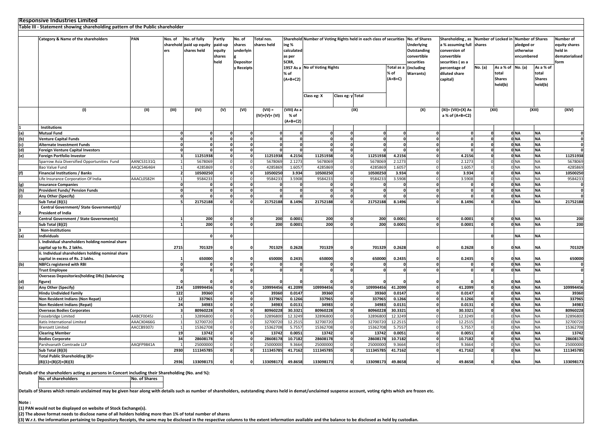## **Responsive Industries Limited**

|               | Table III - Statement showing shareholding pattern of the Public shareholder |                   |                         |                          |                  |                            |                   |                    |                               |                   |                                                                    |                  |                   |                             |                              |                     |                         |                         |                   |
|---------------|------------------------------------------------------------------------------|-------------------|-------------------------|--------------------------|------------------|----------------------------|-------------------|--------------------|-------------------------------|-------------------|--------------------------------------------------------------------|------------------|-------------------|-----------------------------|------------------------------|---------------------|-------------------------|-------------------------|-------------------|
|               |                                                                              |                   |                         |                          |                  |                            |                   |                    |                               |                   |                                                                    |                  |                   |                             |                              |                     |                         |                         |                   |
|               | Category & Name of the shareholders                                          | PAN               | Nos. of                 | No. of fully             | Partly           | No. of                     | Total nos.        |                    |                               |                   | Sharehold Number of Voting Rights held in each class of securities |                  | No. of Shares     | Shareholding, as            |                              | Number of Locked in |                         | <b>Number of Shares</b> | <b>Number of</b>  |
|               |                                                                              |                   |                         | sharehold paid up equity | paid-up          | shares<br>underlyin        | shares held       | ing %              |                               |                   |                                                                    |                  | <b>Underlying</b> | a % assuming full           | shares                       |                     | pledged or              |                         | equity shares     |
|               |                                                                              |                   | ers                     | shares held              | equity           |                            |                   | calculated         |                               |                   |                                                                    |                  | Outstanding       | conversion of               |                              | otherwise           |                         |                         | held in           |
|               |                                                                              |                   |                         |                          | shares           |                            |                   | as per             |                               |                   |                                                                    |                  | convertible       | convertible                 |                              |                     | encumbered              |                         | dematerialised    |
|               |                                                                              |                   |                         |                          | held             | <b>Depositor</b>           |                   | SCRR,              |                               |                   |                                                                    |                  | securities        | securities (as a            |                              |                     |                         |                         | form              |
|               |                                                                              |                   |                         |                          |                  | y Receipts                 |                   | % of<br>$(A+B+C2)$ | 1957 As a No of Voting Rights |                   |                                                                    | Total as a       | (including        | percentage of               | No. (a)                      | As a % of No. (a)   |                         | As a % of               |                   |
|               |                                                                              |                   |                         |                          |                  |                            |                   |                    |                               |                   |                                                                    | % of             | <b>Warrants)</b>  | diluted share               |                              | total               |                         | total                   |                   |
|               |                                                                              |                   |                         |                          |                  |                            |                   |                    |                               |                   |                                                                    | $(A+B+C)$        |                   | capital)                    |                              | <b>Shares</b>       |                         | <b>Shares</b>           |                   |
|               |                                                                              |                   |                         |                          |                  |                            |                   |                    |                               |                   |                                                                    |                  |                   |                             | held(b)                      |                     | held(b)                 |                         |                   |
|               |                                                                              |                   |                         |                          |                  |                            |                   |                    |                               |                   |                                                                    |                  |                   |                             |                              |                     |                         |                         |                   |
|               |                                                                              |                   |                         |                          |                  |                            |                   |                    | Class eg: X                   | Class eg: y Total |                                                                    |                  |                   |                             |                              |                     |                         |                         |                   |
|               |                                                                              |                   |                         |                          |                  |                            |                   |                    |                               |                   |                                                                    |                  |                   |                             |                              |                     |                         |                         |                   |
|               |                                                                              |                   |                         |                          |                  |                            |                   |                    |                               |                   |                                                                    |                  |                   |                             |                              |                     |                         |                         |                   |
|               | (1)                                                                          | (II)              | (III)                   | (IV)                     | (V)              | (VI)                       | $(VII) =$         | (VIII) As a        |                               |                   | (IX)                                                               |                  | (X)               | (XI)= (VII)+(X) As          |                              | (XII)               |                         | (XIII)                  | (XIV)             |
|               |                                                                              |                   |                         |                          |                  |                            | $(IV)+(V)+(VI)$   | % of               |                               |                   |                                                                    |                  |                   | a % of (A+B+C2)             |                              |                     |                         |                         |                   |
|               |                                                                              |                   |                         |                          |                  |                            |                   | (A+B+C2)           |                               |                   |                                                                    |                  |                   |                             |                              |                     |                         |                         |                   |
|               | <b>Institutions</b>                                                          |                   |                         |                          |                  |                            |                   |                    |                               |                   |                                                                    |                  |                   |                             |                              |                     |                         |                         |                   |
| $\frac{a}{b}$ | Mutual Fund                                                                  |                   | $\Omega$                | 0                        |                  | 0                          | $\Omega$          | 0                  | $\Omega$                      | $\Omega$          | $\Omega$                                                           |                  |                   | 0<br><sub>0</sub>           | $\mathbf 0$                  |                     | 0 NA                    | <b>NA</b>               | O                 |
|               | <b>Venture Capital Funds</b>                                                 |                   | $\mathbf{0}$            |                          | 0                |                            | $\mathbf{0}$      | $\mathbf{0}$       | $\mathbf{0}$                  | $\Omega$          | $\mathbf{0}$                                                       |                  | $\mathbf 0$       | $\mathbf{0}$                | $\mathbf 0$                  |                     | 0 NA                    | <b>NA</b>               | $\mathbf{0}$      |
| (c)           | Alternate Investment Funds                                                   |                   | $\mathbf{0}$            | $\Omega$                 | $\mathbf{o}$     | $\sqrt{2}$                 | $\Omega$          | $\Omega$           | 0.                            | <sub>0</sub>      | $\mathbf{o}$                                                       | $\Omega$         | $\Omega$          | <sub>0</sub>                | $\mathbf{0}$                 |                     | 0 <sub>NA</sub>         | NA                      | $\mathbf{0}$      |
| (d)           | Foreign Venture Capital Investors                                            |                   | $\mathbf{0}$            |                          |                  | O                          |                   |                    | 0                             | $\Omega$          | 0                                                                  |                  |                   | 0<br>U                      | $\mathbf{0}$                 |                     | 0 NA                    | <b>NA</b>               | O                 |
| (e)           | Foreign Portfolio Investor                                                   |                   | $\overline{\mathbf{3}}$ | 11251938                 |                  | $\mathbf 0$                | 11251938          | 4.2156             | 11251938                      | $\mathbf{0}$      | 11251938                                                           | 4.2156           | $\mathbf{0}$      | 4.2156                      | $\mathbf{0}$                 |                     | 0 <sub>N</sub>          | <b>NA</b>               | 11251938          |
|               | Sparrow Asia Diversified Opportunities Fund                                  | <b>AANCS3131Q</b> | $\overline{1}$          | 5678069                  | $\mathbf 0$      |                            | 5678069           | 2.1273             | 5678069                       | $\Omega$          | 5678069                                                            | 2.1273           |                   | 2.1273                      | $\mathbf 0$                  |                     | 0 <sub>NA</sub>         | <b>NA</b>               | 5678069           |
|               | Bao Value Fund                                                               | AAQCS4646H        | $\mathbf{1}$            | 4285869                  |                  | $\overline{0}$             | 4285869           | 1.6057             | 4285869                       | $\Omega$          | 428586                                                             | 1.605            | $\Omega$          | 1.6057                      | $\mathbf 0$                  |                     | 0 <sub>NA</sub>         | <b>NA</b>               | 4285869           |
| (f)           | Financial Institutions / Banks                                               |                   | $\overline{2}$          | 10500250                 |                  | $\mathbf{0}$               | 10500250          | 3.934              | 10500250                      | $\Omega$          | 10500250                                                           | 3.934            |                   | 3.934<br>O                  | $\mathbf 0$                  |                     | 0 <sub>NA</sub>         | <b>NA</b>               | 10500250          |
|               | Life Insurance Corporation Of India                                          | AAACL0582H        | $\overline{1}$          | 9584233                  | $\overline{0}$   |                            | 9584233           | 3.5908             | 9584233                       | $\Omega$          | 9584233                                                            | 3.5908           |                   | 3.5908                      | $\mathbf 0$                  |                     | 0 <sub>NA</sub>         | <b>NA</b>               | 9584233           |
| (g)           | <b>Insurance Companies</b>                                                   |                   | $\mathbf{0}$            |                          |                  | O                          |                   | 0                  | n                             | $\mathbf{a}$      | n                                                                  |                  | $\Omega$          |                             | $\mathbf{0}$                 |                     | 0 NA                    | <b>NA</b>               | $\Omega$          |
| (h)           | Provident Funds/ Pension Funds                                               |                   | $\Omega$                |                          |                  | 0                          |                   |                    | O                             | $\mathbf{a}$      | $\mathbf{0}$                                                       |                  |                   |                             | $\mathbf{0}$                 |                     | 0 NA                    | NA                      | 0                 |
| (i)           | Any Other (Specify)                                                          |                   | $\mathbf 0$             |                          |                  |                            |                   |                    |                               |                   | U                                                                  |                  |                   |                             |                              |                     | 0 <sub>N</sub>          | <b>NA</b>               | 0                 |
|               | Sub Total (B)(1)                                                             |                   | п,                      | 21752188                 |                  |                            | 21752188          | 8.1496             | 21752188                      | n.                | 21752188                                                           | 8.1496           |                   | 8.1496                      | $\mathbf{0}$                 |                     | 0 <sub>NA</sub>         | NA                      | 21752188          |
|               | Central Government/ State Government(s)/                                     |                   |                         |                          |                  |                            |                   |                    |                               |                   |                                                                    |                  |                   |                             |                              |                     |                         |                         |                   |
|               | <b>President of India</b>                                                    |                   |                         |                          |                  |                            |                   |                    |                               |                   |                                                                    |                  |                   |                             |                              |                     |                         |                         |                   |
|               | Central Government / State Government(s)                                     |                   | 1                       | 200                      |                  |                            | 200               | 0.0001             | 200                           |                   | 200                                                                | 0.0001           |                   | 0.0001<br>0                 | $\mathbf 0$                  |                     | 0 NA                    | NA                      | 200               |
|               | Sub Total (B)(2)                                                             |                   |                         | 200                      |                  |                            | 200               | 0.0001             | 200                           |                   | 200                                                                | 0.0001           |                   | 0.0001                      | $\mathbf{0}$                 |                     | 0 NA                    | <b>NA</b>               | 200               |
|               | <b>Non-Institutions</b>                                                      |                   |                         |                          |                  |                            |                   |                    |                               |                   |                                                                    |                  |                   |                             |                              |                     |                         |                         |                   |
| (a)           | <b>Individuals</b>                                                           |                   |                         |                          |                  |                            |                   |                    |                               |                   |                                                                    |                  |                   |                             |                              |                     | <b>NA</b>               | <b>NA</b>               |                   |
|               | Individual shareholders holding nominal share                                |                   |                         |                          |                  |                            |                   |                    |                               |                   |                                                                    |                  |                   |                             |                              |                     |                         |                         |                   |
|               | capital up to Rs. 2 lakhs.                                                   |                   | 2715                    | 701329                   |                  | 0                          | 701329            | 0.2628             | 701329                        |                   | 701329                                                             | 0.2628           |                   | 0.2628                      |                              |                     | 0 NA                    | ΝA                      | 701329            |
|               | i. Individual shareholders holding nominal share                             |                   |                         |                          |                  |                            |                   |                    |                               |                   |                                                                    |                  |                   |                             |                              |                     |                         |                         |                   |
|               | capital in excess of Rs. 2 lakhs.                                            |                   |                         | 650000                   |                  |                            | 650000            | 0.2435             | 650000                        |                   | 650000                                                             | 0.2435           |                   | 0.2435                      |                              |                     | 0 NA                    | ΝA                      | 650000            |
| (b)           | <b>NBFCs registered with RBI</b>                                             |                   | $\mathbf{0}$            |                          |                  | 0                          |                   | 0                  |                               | $\Omega$          | 0                                                                  |                  |                   |                             | $\mathbf{0}$                 |                     | 0 NA                    | NA                      | $\mathbf{0}$      |
|               | <b>Trust Employee</b>                                                        |                   | $\mathbf{0}$            |                          |                  |                            |                   |                    |                               |                   | $\mathbf{0}$                                                       |                  |                   |                             | $\mathbf{0}$                 |                     | 0 <sub>NA</sub>         | <b>NA</b>               | $\mathbf{0}$      |
|               | <b>Overseas Depositories(holding DRs) (balancing</b>                         |                   |                         |                          |                  |                            |                   |                    |                               |                   |                                                                    |                  |                   |                             |                              |                     |                         |                         |                   |
| (d)           | figure)                                                                      |                   |                         |                          |                  |                            |                   |                    |                               |                   |                                                                    |                  |                   |                             |                              |                     | 0 NA                    | ΝA                      |                   |
| (e)           | Any Other (Specify)                                                          |                   | 214                     | 109994456                |                  | $\mathbf 0$                | 109994456         | 41.2099            | 109994456                     |                   | 109994456                                                          | 41.2099          | $\Omega$          | 41.2099                     | $\mathbf{0}$                 |                     | 0 <sub>NA</sub>         | NA                      | 109994456         |
|               | <b>Hindu Undivided Family</b>                                                |                   | 122                     | 39360                    | $\mathbf 0$      |                            | 39360             | 0.0147             | 39360                         |                   | 39360                                                              | 0.0147           |                   | 0.0147<br>0.1266            | $\mathbf 0$                  |                     | 0 NA                    | <b>NA</b>               | 39360             |
|               | Non Resident Indians (Non Repat)                                             |                   | 12<br>24                | 337965                   |                  | $\mathbf 0$<br>$\mathbf 0$ | 337965<br>34983   | 0.1266<br>0.0131   | 337965                        | $\Omega$          | 337965                                                             | 0.1266<br>0.0131 |                   | 0<br>0.0131                 | $\mathbf{0}$<br>$\mathbf{0}$ |                     | 0 NA<br>0 <sub>NA</sub> | <b>NA</b><br><b>NA</b>  | 337965            |
|               | Non Resident Indians (Repat)                                                 |                   |                         | 34983                    |                  |                            |                   |                    | 34983                         |                   | 34983                                                              |                  |                   |                             |                              |                     |                         |                         | 34983             |
|               | <b>Overseas Bodies Corporates</b>                                            |                   | $\overline{\mathbf{3}}$ | 80960228                 | 0                |                            | 80960228          | 30.3321            | 80960228                      | $\mathbf{0}$      | 80960228                                                           | 30.3321          |                   | 30.3321<br>$\mathbf 0$      | $\mathbf{0}$                 |                     | 0 <sub>NA</sub>         | <b>NA</b>               | 80960228          |
|               | Fossebridge Limited                                                          | AABCF0045J        |                         | 32896800                 |                  |                            | 32896800          | 12.3249            | 32896800                      |                   | 32896800                                                           | 12.3249          |                   | 12.3249                     | $\Omega$                     |                     | 0 <sub>NA</sub>         | <b>NA</b>               | 32896800          |
|               | Xatis International Limited                                                  | AAACX0466G        | $\mathbf{1}$            | 32700720                 | $\Omega$         |                            | 32700720          | 12.2515            | 32700720                      | $\Omega$          | 3270072                                                            | 12.2515          |                   | 12.2515                     | $\mathbf 0$<br>$\mathbf 0$   |                     | 0 <sub>NA</sub>         | <b>NA</b>               | 32700720          |
|               | <b>Brenzett Limited</b>                                                      | AACCB9307J        | $\overline{1}$<br>19    | 15362708                 | $\mathbf 0$      |                            | 15362708          | 5.7557<br>0.0051   | 15362708                      | $\mathbf{0}$      | 15362708                                                           | 5.7557<br>0.0051 |                   | 5.7557<br>0.0051            |                              |                     | 0 <sub>NA</sub><br>0 NA | <b>NA</b><br>NA         | 15362708          |
|               | <b>Clearing Member</b><br><b>Bodies Corporate</b>                            |                   | 34                      | 13742<br>28608178        | $\mathbf 0$<br>0 |                            | 13742<br>28608178 | 10.7182            | 13742<br>28608178             | $\Omega$          | 13742<br>28608178                                                  | 10.7182          |                   | $\mathbf 0$<br>10.7182<br>0 | $\mathbf{0}$<br>$\mathbf{0}$ |                     | ONA                     | <b>NA</b>               | 13742<br>28608178 |
|               |                                                                              | AAQFP9841A        | $\overline{1}$          | 25000000                 | $\mathbf 0$      |                            | 2500000           | 9.3664             | 25000000                      | $\Omega$          | 2500000                                                            | 9.3664           |                   | 9.3664                      | $\mathbf 0$                  |                     |                         | <b>NA</b>               | 25000000          |
|               | Parshvanath Comtrade LLP<br>Sub Total (B)(3)                                 |                   | 2930                    | 111345785                |                  | $\mathbf{0}$               | 111345785         | 41.7162            | 111345785                     |                   | 111345785                                                          | 41.7162          |                   | 41.7162<br>O                | $\mathbf 0$                  |                     | 0 <sub>NA</sub><br>0 NA | <b>NA</b>               | 111345785         |
|               | Total Public Shareholding (B)=                                               |                   |                         |                          |                  |                            |                   |                    |                               |                   |                                                                    |                  |                   |                             |                              |                     |                         |                         |                   |
|               | $(B)(1)+(B)(2)+(B)(3)$                                                       |                   | 2936                    | 133098173                |                  |                            | 133098173         | 49.8658            | 133098173                     |                   | 133098173                                                          | 49.8658          |                   | 49.8658                     |                              |                     | 0 NA                    | ΝA                      | 133098173         |
|               |                                                                              |                   |                         |                          |                  |                            |                   |                    |                               |                   |                                                                    |                  |                   |                             |                              |                     |                         |                         |                   |

**Details of the shareholders acting as persons in Concert including their Shareholding (No. and %):**

**No. of shareholders**

**Details of Shares which remain unclaimed may be given hear along with details such as number of shareholders, outstanding shares held in demat/unclaimed suspense account, voting rights which are frozen etc.**

**Note :**

## **(1) PAN would not be displayed on website of Stock Exchange(s).**

**(2) The above format needs to disclose name of all holders holding more than 1% of total number of shares**

**No. of Shares**

**(3) W.r.t. the information pertaining to Depository Receipts, the same may be disclosed in the respective columns to the extent information available and the balance to be disclosed as held by custodian.**